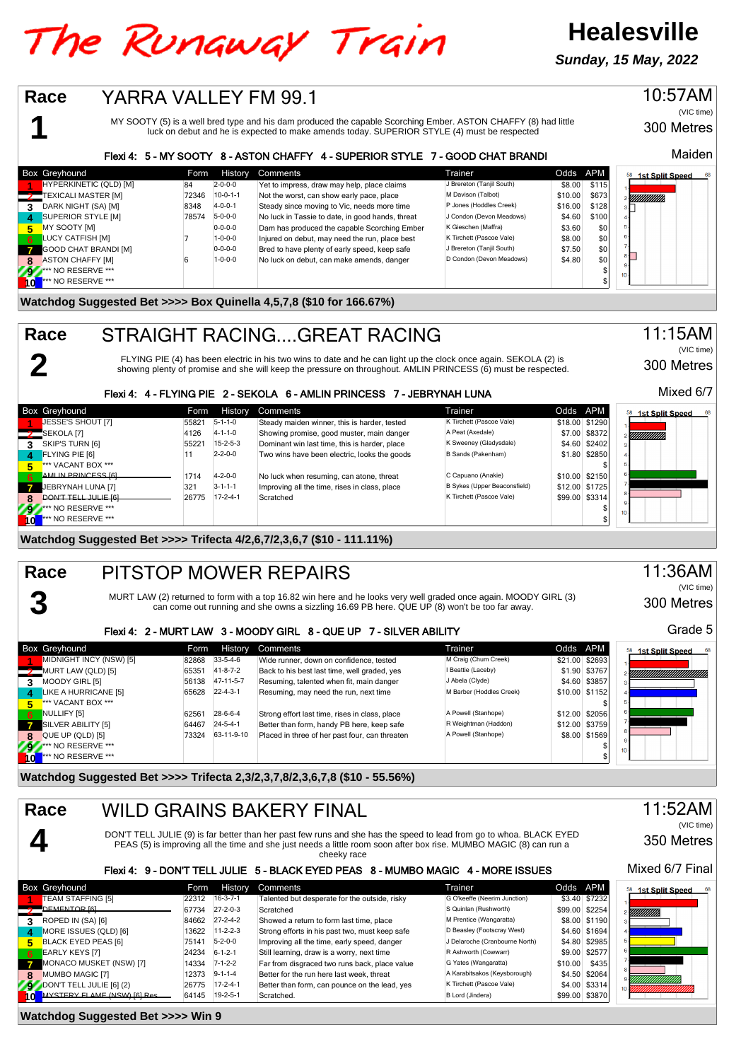# The Runaway Train

**Sunday, 15 May, 2022**

**Healesville**

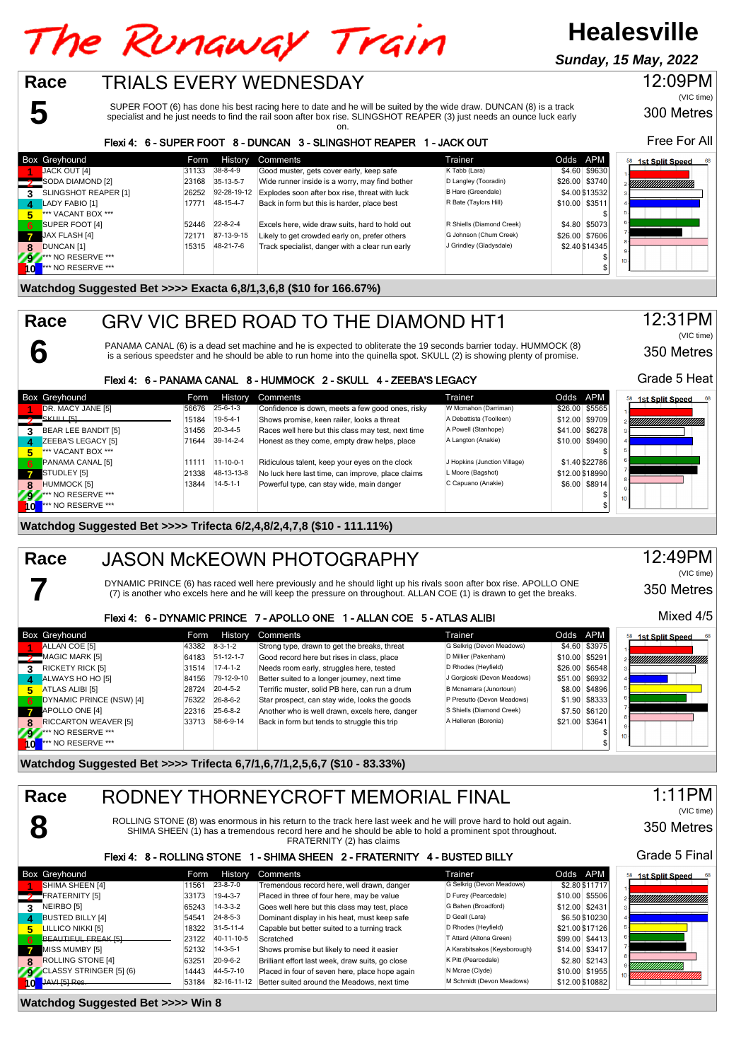# The Runaway Train

## **Healesville**

**Sunday, 15 May, 2022**



SUPER FOOT (6) has done his best racing here to date and he will be suited by the wide draw. DUNCAN (8) is a track specialist and he just needs to find the rail soon after box rise. SLINGSHOT REAPER (3) just needs an ounce luck early on.

#### Flexi 4: 6 - SUPER FOOT 8 - DUNCAN 3 - SLINGSHOT REAPER 1 - JACK OUT

|              | <b>Box Greyhound</b>                   | Form  | History          | Comments                                        | Trainer                   | Odds APM       | 68<br><b>1st Split Speed</b> |
|--------------|----------------------------------------|-------|------------------|-------------------------------------------------|---------------------------|----------------|------------------------------|
|              | JACK OUT [4]                           | 31133 | 38-8-4-9         | Good muster, gets cover early, keep safe        | K Tabb (Lara)             | \$4.60 \$9630  |                              |
|              | SODA DIAMOND [2]                       | 23168 | 35-13-5-7        | Wide runner inside is a worry, may find bother  | D Langley (Tooradin)      | \$26.00 \$3740 | YMMMMMMMMM                   |
|              | SLINGSHOT REAPER [1]                   | 26252 | 92-28-19-12      | Explodes soon after box rise, threat with luck  | B Hare (Greendale)        | \$4.00 \$13532 |                              |
|              | LADY FABIO [1]                         | 17771 | 48-15-4-7        | Back in form but this is harder, place best     | R Bate (Taylors Hill)     | \$10.00 \$3511 |                              |
| 5            | <b>I</b> <sup>***</sup> VACANT BOX *** |       |                  |                                                 |                           |                |                              |
| 6            | SUPER FOOT [4]                         | 52446 | $22 - 8 - 2 - 4$ | Excels here, wide draw suits, hard to hold out  | R Shiells (Diamond Creek) | \$4.80 \$5073  |                              |
| $\mathbf{z}$ | JAX FLASH [4]                          | 72171 | 87-13-9-15       | Likely to get crowded early on, prefer others   | G Johnson (Chum Creek)    | \$26.00 \$7606 |                              |
| 8            | DUNCAN <sub>[1]</sub>                  | 15315 | 48-21-7-6        | Track specialist, danger with a clear run early | J Grindley (Gladysdale)   | \$2.40 \$14345 |                              |
| 292          | <b>*** NO RESERVE ***</b>              |       |                  |                                                 |                           |                | $10 -$                       |
|              | *** NO RESERVE ***                     |       |                  |                                                 |                           |                |                              |

#### **Watchdog Suggested Bet >>>> Exacta 6,8/1,3,6,8 (\$10 for 166.67%)**

**6**

**7**

**Race**

### GRV VIC BRED ROAD TO THE DIAMOND HT1

PANAMA CANAL (6) is a dead set machine and he is expected to obliterate the 19 seconds barrier today. HUMMOCK (8) is a serious speedster and he should be able to run home into the quinella spot. SKULL (2) is showing plenty of promise.

#### Flexi 4: 6 - PANAMA CANAL 8 - HUMMOCK 2 - SKULL 4 - ZEEBA'S LEGACY

|                 | <b>Box Greyhound</b>          | Form  | History          | Comments                                           | Trainer                      | Odds APM        | 58<br>1st Split Speed |
|-----------------|-------------------------------|-------|------------------|----------------------------------------------------|------------------------------|-----------------|-----------------------|
|                 | DR. MACY JANE [5]             | 56676 | $25 - 6 - 1 - 3$ | Confidence is down, meets a few good ones, risky   | W Mcmahon (Darriman)         | \$26.00 \$5565  |                       |
|                 | $S$ KULL $[5]$                | 15184 | $19-5-4-1$       | Shows promise, keen railer, looks a threat         | A Debattista (Toolleen)      | \$12.00 \$9709  | Y <i>MMMMMMMMMM</i>   |
|                 | BEAR LEE BANDIT [5]           | 31456 | $20 - 3 - 4 - 5$ | Races well here but this class may test, next time | A Powell (Stanhope)          | \$41.00 \$6278  |                       |
| $\mathbf{A}$    | ZEEBA'S LEGACY [5]            | 71644 | $39-14-2-4$      | Honest as they come, empty draw helps, place       | A Langton (Anakie)           | \$10.00 \$9490  |                       |
| 5.              | *** VACANT BOX ***            |       |                  |                                                    |                              |                 |                       |
| - 6             | <b>PANAMA CANAL [5]</b>       | 11111 | $11-10-0-1$      | Ridiculous talent, keep your eyes on the clock     | J Hopkins (Junction Village) | \$1.40 \$22786  |                       |
|                 | $\overline{7}$ STUDLEY [5]    | 21338 | 48-13-13-8       | No luck here last time, can improve, place claims  | L Moore (Bagshot)            | \$12.00 \$18990 |                       |
| -8              | <b>HUMMOCK [5]</b>            | 13844 | $14 - 5 - 1 - 1$ | Powerful type, can stay wide, main danger          | C Capuano (Anakie)           | \$6.00 \$8914   |                       |
|                 | *** NO RESERVE ***            |       |                  |                                                    |                              |                 | 10 <sup>1</sup>       |
| $\frac{79}{10}$ | <sup>***</sup> NO RESERVE *** |       |                  |                                                    |                              |                 |                       |

#### **Watchdog Suggested Bet >>>> Trifecta 6/2,4,8/2,4,7,8 (\$10 - 111.11%)**

#### JASON McKEOWN PHOTOGRAPHY **Race**

DYNAMIC PRINCE (6) has raced well here previously and he should light up his rivals soon after box rise. APOLLO ONE (7) is another who excels here and he will keep the pressure on throughout. ALLAN COE (1) is drawn to get the breaks.

#### Flexi 4: 6 - DYNAMIC PRINCE 7 - APOLLO ONE 1 - ALLAN COE 5 - ATLAS ALIBI

|              | <b>Box Greyhound</b>        | Form  | History          | Comments                                       | Trainer                     | Odds APM       |                |
|--------------|-----------------------------|-------|------------------|------------------------------------------------|-----------------------------|----------------|----------------|
|              | ALLAN COE [5]               | 43382 | $8 - 3 - 1 - 2$  | Strong type, drawn to get the breaks, threat   | G Selkrig (Devon Meadows)   |                | \$4.60 \$3975  |
|              | MAGIC MARK [5]              | 64183 | $51-12-1-7$      | Good record here but rises in class, place     | D Millier (Pakenham)        | \$10.00 \$5291 |                |
| 3            | <b>RICKETY RICK [5]</b>     | 31514 | $17-4-1-2$       | Needs room early, struggles here, tested       | D Rhodes (Heyfield)         |                | \$26.00 \$6548 |
| Δ.           | ALWAYS HO HO [5]            | 84156 | 79-12-9-10       | Better suited to a longer journey, next time   | J Gorgioski (Devon Meadows) |                | \$51.00 \$6932 |
| 5.           | ATLAS ALIBI [5]             | 28724 | $20 - 4 - 5 - 2$ | Terrific muster, solid PB here, can run a drum | B Mcnamara (Junortoun)      |                | \$8.00 \$4896  |
| 6            | DYNAMIC PRINCE (NSW) [4]    | 76322 | $26 - 8 - 6 - 2$ | Star prospect, can stay wide, looks the goods  | P Presutto (Devon Meadows)  |                | \$1.90 \$8333  |
| $\mathbf{z}$ | APOLLO ONE [4]              | 22316 | 25-6-8-2         | Another who is well drawn, excels here, danger | S Shiells (Diamond Creek)   |                | \$7.50 \$6120  |
| 8            | <b>RICCARTON WEAVER [5]</b> | 33713 | 58-6-9-14        | Back in form but tends to struggle this trip   | A Helleren (Boronia)        | \$21.00 \$3641 |                |
| 797          | <b>At AND RESERVE ***</b>   |       |                  |                                                |                             |                |                |
| \o           | <b>*** NO RESERVE ***</b>   |       |                  |                                                |                             |                |                |

#### **Watchdog Suggested Bet >>>> Trifecta 6,7/1,6,7/1,2,5,6,7 (\$10 - 83.33%)**

| Race<br>RODNEY THORNEYCROFT MEMORIAL FINAL |                                                                                                                                                                                                                                                            |       |                   |                                                  |                              |                 |                    |  |
|--------------------------------------------|------------------------------------------------------------------------------------------------------------------------------------------------------------------------------------------------------------------------------------------------------------|-------|-------------------|--------------------------------------------------|------------------------------|-----------------|--------------------|--|
|                                            | ROLLING STONE (8) was enormous in his return to the track here last week and he will prove hard to hold out again.<br>SHIMA SHEEN (1) has a tremendous record here and he should be able to hold a prominent spot throughout.<br>FRATERNITY (2) has claims |       |                   |                                                  |                              |                 |                    |  |
|                                            | Flexi 4: 8 - ROLLING STONE                                                                                                                                                                                                                                 |       |                   | 1 - SHIMA SHEEN 2 - FRATERNITY                   | 4 - BUSTED BILLY             |                 | Grade 5 Final      |  |
| <b>Box Greyhound</b>                       |                                                                                                                                                                                                                                                            | Form  | History           | Comments                                         | Trainer                      | Odds APM        | 58 1st Split Speed |  |
| SHIMA SHEEN [4]                            |                                                                                                                                                                                                                                                            | 11561 | $23 - 8 - 7 - 0$  | Tremendous record here, well drawn, danger       | G Selkrig (Devon Meadows)    | \$2.80 \$11717  |                    |  |
| <b>2</b> FRATERNITY [5]                    |                                                                                                                                                                                                                                                            | 33173 | $19-4-3-7$        | Placed in three of four here, may be value       | D Furey (Pearcedale)         | \$10.00 \$5506  |                    |  |
| NEIRBO <sub>[5]</sub><br>3                 |                                                                                                                                                                                                                                                            | 65243 | $14 - 3 - 3 - 2$  | Goes well here but this class may test, place    | G Bahen (Broadford)          | \$12.00 \$2431  |                    |  |
| <b>BUSTED BILLY [4]</b><br>$\mathbf{A}$    |                                                                                                                                                                                                                                                            | 54541 | $24 - 8 - 5 - 3$  | Dominant display in his heat, must keep safe     | D Geall (Lara)               | \$6.50 \$10230  |                    |  |
| LILLICO NIKKI [5]<br>片                     |                                                                                                                                                                                                                                                            | 18322 | $31 - 5 - 11 - 4$ | Capable but better suited to a turning track     | D Rhodes (Heyfield)          | \$21.00 \$17126 |                    |  |
| BEAUTIFUL FREAK [5]<br>6                   |                                                                                                                                                                                                                                                            | 23122 | 40-11-10-5        | Scratched                                        | T Attard (Altona Green)      | \$99.00 \$4413  |                    |  |
| MISS MUMBY [5]                             |                                                                                                                                                                                                                                                            | 52132 | $14-3-5-1$        | Shows promise but likely to need it easier       | A Karabitsakos (Keysborough) | \$14.00 \$3417  |                    |  |
| <b>ROLLING STONE [4]</b><br>8              |                                                                                                                                                                                                                                                            | 63251 | $20 - 9 - 6 - 2$  | Brilliant effort last week, draw suits, go close | K Pitt (Pearcedale)          | \$2.80 \$2143   |                    |  |
| CLASSY STRINGER [5] (6)                    |                                                                                                                                                                                                                                                            | 14443 | 44-5-7-10         | Placed in four of seven here, place hope again   | N Mcrae (Clyde)              | \$10.00 \$1955  |                    |  |
| 10 JAVI [5] Res.                           |                                                                                                                                                                                                                                                            | 53184 | 82-16-11-12       | Better suited around the Meadows, next time      | M Schmidt (Devon Meadows)    | \$12.00 \$10882 |                    |  |

**Watchdog Suggested Bet >>>> Win 8**



300 Metres

(VIC time)

Free For All

12:09PM

350 Metres

(VIC time)

12:31PM



#### 12:49PM (VIC time)

350 Metres

#### Mixed 4/5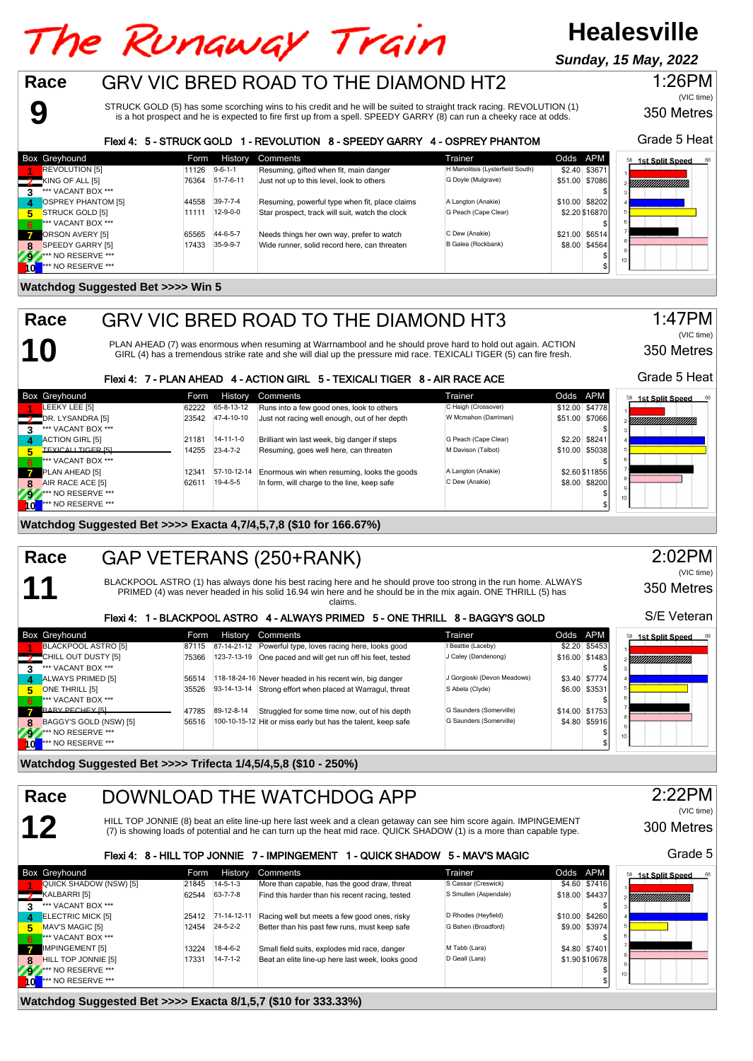#### **Healesville** The Runaway Train **Sunday, 15 May, 2022Race** GRV VIC BRED ROAD TO THE DIAMOND HT2 1:26PM

STRUCK GOLD (5) has some scorching wins to his credit and he will be suited to straight track racing. REVOLUTION (1) is a hot prospect and he is expected to fire first up from a spell. SPEEDY GARRY (8) can run a cheeky race at odds.

#### Flexi 4: 5 - STRUCK GOLD 1 - REVOLUTION 8 - SPEEDY GARRY 4 - OSPREY PHANTOM

| <b>Box Greyhound</b>      | Form  | History          | Comments                                        | Trainer                          | Odds APM       | 68<br>1st Split Speed          |
|---------------------------|-------|------------------|-------------------------------------------------|----------------------------------|----------------|--------------------------------|
| <b>REVOLUTION [5]</b>     | 11126 | $9 - 6 - 1 - 1$  | Resuming, gifted when fit, main danger          | H Manolitsis (Lysterfield South) | \$2.40 \$3671  |                                |
| KING OF ALL [5]           | 76364 | 51-7-6-11        | Just not up to this level, look to others       | G Doyle (Mulgrave)               | \$51.00 \$7086 | <u>Viittittiittiittiittiin</u> |
| *** VACANT BOX ***        |       |                  |                                                 |                                  |                |                                |
| <b>OSPREY PHANTOM [5]</b> | 44558 | $39 - 7 - 7 - 4$ | Resuming, powerful type when fit, place claims  | A Langton (Anakie)               | \$10.00 \$8202 |                                |
| STRUCK GOLD [5]<br>5      | 11111 | $12 - 9 - 0 - 0$ | Star prospect, track will suit, watch the clock | G Peach (Cape Clear)             | \$2.20 \$16870 |                                |
| *** VACANT BOX ***<br>6   |       |                  |                                                 |                                  |                |                                |
| ORSON AVERY [5]           | 65565 | 44-6-5-7         | Needs things her own way, prefer to watch       | C Dew (Anakie)                   | \$21.00 \$6514 |                                |
| SPEEDY GARRY [5]          | 17433 | 35-9-9-7         | Wide runner, solid record here, can threaten    | B Galea (Rockbank)               | \$8.00 \$4564  |                                |
| *** NO RESERVE ***<br>797 |       |                  |                                                 |                                  |                | 10 <sup>1</sup>                |
| *** NO RESERVE ***        |       |                  |                                                 |                                  |                |                                |

#### **Watchdog Suggested Bet >>>> Win 5**

**9**

**10**

**11**

**12**

**Race**

**Race**



PLAN AHEAD (7) was enormous when resuming at Warrnambool and he should prove hard to hold out again. ACTION<br>GIRL (4) has a tremendous strike rate and she will dial up the pressure mid race. TEXICALI TIGER (5) can fire fres

#### Flexi 4: 7 - PLAN AHEAD 4 - ACTION GIRL 5 - TEXICALI TIGER 8 - AIR RACE ACE

|              | <b>Box Greyhound</b>       | Form  |                   | History Comments                              | Trainer              | Odds APM       | 68<br><b>1st Split Speed</b> |
|--------------|----------------------------|-------|-------------------|-----------------------------------------------|----------------------|----------------|------------------------------|
|              | LEEKY LEE [5]              | 62222 | 65-8-13-12        | Runs into a few good ones, look to others     | C Haigh (Crossover)  | \$12.00 \$4778 |                              |
|              | DR. LYSANDRA [5]           | 23542 | 47-4-10-10        | Just not racing well enough, out of her depth | W Mcmahon (Darriman) | \$51.00 \$7066 | YMMMMMMMMM                   |
| 3            | *** VACANT BOX ***         |       |                   |                                               |                      |                |                              |
| $\mathbf{A}$ | ACTION GIRL [5]            | 21181 | $14 - 11 - 1 - 0$ | Brilliant win last week, big danger if steps  | G Peach (Cape Clear) | \$2.20 \$8241  |                              |
| 5.           | <b>ITEXICALL TIGER [5]</b> | 14255 | $23 - 4 - 7 - 2$  | Resuming, goes well here, can threaten        | M Davison (Talbot)   | \$10.00 \$5038 |                              |
| 6            | *** VACANT BOX ***         |       |                   |                                               |                      |                |                              |
| $\mathbf{z}$ | PLAN AHEAD [5]             | 12341 | 57-10-12-14       | Enormous win when resuming, looks the goods   | A Langton (Anakie)   | \$2.60 \$11856 |                              |
| -8           | AIR RACE ACE [5]           | 62611 | $19-4-5-5$        | In form, will charge to the line, keep safe   | C Dew (Anakie)       | \$8.00 \$8200  |                              |
| 292          | <b>*** NO RESERVE ***</b>  |       |                   |                                               |                      |                | 10 <sub>1</sub>              |
| 1 o'         | $**$ NO RESERVE ***        |       |                   |                                               |                      |                |                              |

**Watchdog Suggested Bet >>>> Exacta 4,7/4,5,7,8 (\$10 for 166.67%)**

#### GAP VETERANS (250+RANK) **Race**

BLACKPOOL ASTRO (1) has always done his best racing here and he should prove too strong in the run home. ALWAYS PRIMED (4) was never headed in his solid 16.94 win here and he should be in the mix again. ONE THRILL (5) has claims.

#### Flexi 4: 1 - BLACKPOOL ASTRO 4 - ALWAYS PRIMED 5 - ONE THRILL 8 - BAGGY'S GOLD

|              | <b>Box Greyhound</b>               | Form  | History     | Comments                                                     | Trainer                     | Odds APM |                | 58 1st Split Speed 6 |
|--------------|------------------------------------|-------|-------------|--------------------------------------------------------------|-----------------------------|----------|----------------|----------------------|
|              | BLACKPOOL ASTRO [5]                | 87115 |             | 87-14-21-12 Powerful type, loves racing here, looks good     | I Beattie (Laceby)          |          | \$2.20 \$5453  |                      |
|              | CHILL OUT DUSTY [5]                | 75366 | 123-7-13-19 | One paced and will get run off his feet, tested              | J Caley (Dandenong)         |          | \$16,00 \$1483 | <u>Siihiinimmiin</u> |
| $\mathbf{z}$ | *** VACANT BOX ***                 |       |             |                                                              |                             |          |                |                      |
| $\mathbf{A}$ | ALWAYS PRIMED [5]                  | 56514 |             | 118-18-24-16 Never headed in his recent win, big danger      | J Gorgioski (Devon Meadows) |          | \$3.40 \$7774  |                      |
| E            | ONE THRILL [5]                     | 35526 |             | 93-14-13-14 Strong effort when placed at Warragul, threat    | S Abela (Clyde)             |          | \$6.00 \$3531  |                      |
| - 6          | *** VACANT BOX ***                 |       |             |                                                              |                             |          |                |                      |
|              | <b>RARY PECHEY [5]</b>             | 47785 | 89-12-8-14  | Struggled for some time now, out of his depth                | G Saunders (Somerville)     |          | \$14.00 \$1753 |                      |
| 8            | BAGGY'S GOLD (NSW) [5]             | 56516 |             | 100-10-15-12 Hit or miss early but has the talent, keep safe | G Saunders (Somerville)     |          | \$4.80 \$5916  |                      |
| 292          | <b>*** NO RESERVE ***</b>          |       |             |                                                              |                             |          |                |                      |
|              | $10$ <sup>***</sup> NO RESERVE *** |       |             |                                                              |                             |          |                |                      |
|              |                                    |       |             |                                                              |                             |          |                |                      |

**Watchdog Suggested Bet >>>> Trifecta 1/4,5/4,5,8 (\$10 - 250%)**

### DOWNLOAD THE WATCHDOG APP

HILL TOP JONNIE (8) beat an elite line-up here last week and a clean getaway can see him score again. IMPINGEMENT<br>(7) is showing loads of potential and he can turn up the heat mid race. QUICK SHADOW (1) is a more than capa

#### Flexi 4: 8 - HILL TOP JONNIE 7 - IMPINGEMENT 1 - QUICK SHADOW 5 - MAV'S MAGIC

|                | <b>Box Greyhound</b>      | Form  | <b>History</b>   | Comments                                         | Trainer               | Odds APM |                | 58 1st Split Speed<br>-68 |
|----------------|---------------------------|-------|------------------|--------------------------------------------------|-----------------------|----------|----------------|---------------------------|
|                | QUICK SHADOW (NSW) [5]    | 21845 | $14 - 5 - 1 - 3$ | More than capable, has the good draw, threat     | S Cassar (Creswick)   |          | \$4.60 \$7416  |                           |
|                | KALBARRI [5]              | 62544 | 63-7-7-8         | Find this harder than his recent racing, tested  | S Smullen (Aspendale) |          | \$18.00 \$4437 | YIIIIIIIIIIIIIIIIIIIII    |
|                | *** VACANT BOX ***        |       |                  |                                                  |                       |          |                |                           |
|                | <b>ELECTRIC MICK [5]</b>  | 25412 | 71-14-12-11      | Racing well but meets a few good ones, risky     | D Rhodes (Heyfield)   |          | \$10.00 \$4260 |                           |
| 5.             | MAV'S MAGIC [5]           | 12454 | $24 - 5 - 2 - 2$ | Better than his past few runs, must keep safe    | G Bahen (Broadford)   |          | \$9.00 \$3974  |                           |
| 6 <sup>1</sup> | *** VACANT BOX ***        |       |                  |                                                  |                       |          |                |                           |
|                | IMPINGEMENT [5]           | 13224 | $18-4-6-2$       | Small field suits, explodes mid race, danger     | M Tabb (Lara)         |          | \$4.80 \$7401  |                           |
| 8.             | HILL TOP JONNIE [5]       | 17331 | $14 - 7 - 1 - 2$ | Beat an elite line-up here last week, looks good | D Geall (Lara)        |          | \$1.90 \$10678 |                           |
| <b>AV</b>      | <b>*** NO RESERVE ***</b> |       |                  |                                                  |                       |          |                | 10 <sup>1</sup>           |
| ۱o             | *** NO RESERVE ***        |       |                  |                                                  |                       |          |                |                           |

#### **Watchdog Suggested Bet >>>> Exacta 8/1,5,7 (\$10 for 333.33%)**

Grade 5 Heat

350 Metres

(VIC time)



350 Metres

Grade 5 Heat

1:47PM

(VIC time)



350 Metres

2:02PM

(VIC time)

300 Metres Grade 5

2:22PM

(VIC time)